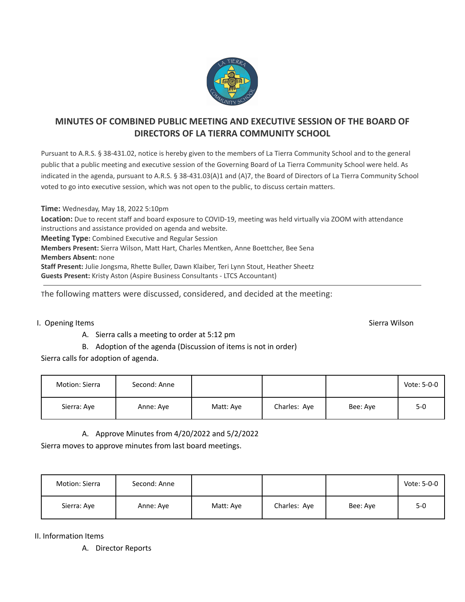

# **MINUTES OF COMBINED PUBLIC MEETING AND EXECUTIVE SESSION OF THE BOARD OF DIRECTORS OF LA TIERRA COMMUNITY SCHOOL**

Pursuant to A.R.S. § 38-431.02, notice is hereby given to the members of La Tierra Community School and to the general public that a public meeting and executive session of the Governing Board of La Tierra Community School were held. As indicated in the agenda, pursuant to A.R.S. § 38-431.03(A)1 and (A)7, the Board of Directors of La Tierra Community School voted to go into executive session, which was not open to the public, to discuss certain matters.

**Time:** Wednesday, May 18, 2022 5:10pm **Location:** Due to recent staff and board exposure to COVID-19, meeting was held virtually via ZOOM with attendance instructions and assistance provided on agenda and website. **Meeting Type:** Combined Executive and Regular Session **Members Present:** Sierra Wilson, Matt Hart, Charles Mentken, Anne Boettcher, Bee Sena **Members Absent:** none **Staff Present:** Julie Jongsma, Rhette Buller, Dawn Klaiber, Teri Lynn Stout, Heather Sheetz **Guests Present:** Kristy Aston (Aspire Business Consultants - LTCS Accountant)

The following matters were discussed, considered, and decided at the meeting:

### I. Opening Items Sierra Wilson Sierra Wilson Sierra Wilson Sierra Wilson Sierra Wilson Sierra Wilson Sierra Wilson

A. Sierra calls a meeting to order at 5:12 pm

B. Adoption of the agenda (Discussion of items is not in order)

Sierra calls for adoption of agenda.

| Motion: Sierra | Second: Anne |           |              |          | Vote: 5-0-0 |
|----------------|--------------|-----------|--------------|----------|-------------|
| Sierra: Aye    | Anne: Aye    | Matt: Aye | Charles: Aye | Bee: Aye | $5-0$       |

A. Approve Minutes from 4/20/2022 and 5/2/2022

Sierra moves to approve minutes from last board meetings.

| Motion: Sierra | Second: Anne |           |              |          | Vote: 5-0-0 |
|----------------|--------------|-----------|--------------|----------|-------------|
| Sierra: Aye    | Anne: Aye    | Matt: Aye | Charles: Aye | Bee: Ave | $5 - 0$     |

II. Information Items

A. Director Reports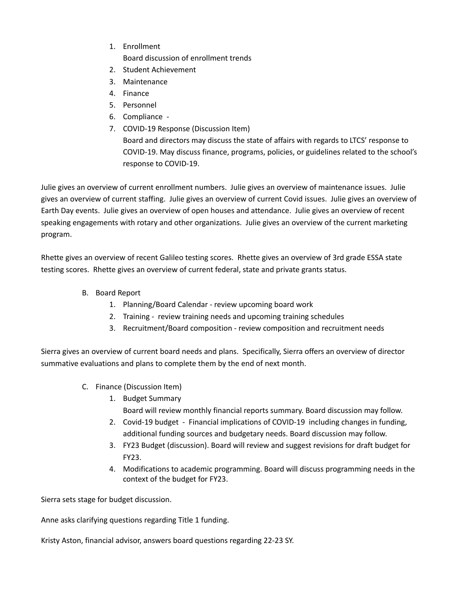- 1. Enrollment Board discussion of enrollment trends
- 2. Student Achievement
- 3. Maintenance
- 4. Finance
- 5. Personnel
- 6. Compliance -
- 7. COVID-19 Response (Discussion Item) Board and directors may discuss the state of affairs with regards to LTCS' response to COVID-19. May discuss finance, programs, policies, or guidelines related to the school's response to COVID-19.

Julie gives an overview of current enrollment numbers. Julie gives an overview of maintenance issues. Julie gives an overview of current staffing. Julie gives an overview of current Covid issues. Julie gives an overview of Earth Day events. Julie gives an overview of open houses and attendance. Julie gives an overview of recent speaking engagements with rotary and other organizations. Julie gives an overview of the current marketing program.

Rhette gives an overview of recent Galileo testing scores. Rhette gives an overview of 3rd grade ESSA state testing scores. Rhette gives an overview of current federal, state and private grants status.

- B. Board Report
	- 1. Planning/Board Calendar review upcoming board work
	- 2. Training review training needs and upcoming training schedules
	- 3. Recruitment/Board composition review composition and recruitment needs

Sierra gives an overview of current board needs and plans. Specifically, Sierra offers an overview of director summative evaluations and plans to complete them by the end of next month.

- C. Finance (Discussion Item)
	- 1. Budget Summary Board will review monthly financial reports summary. Board discussion may follow.
	- 2. Covid-19 budget Financial implications of COVID-19 including changes in funding, additional funding sources and budgetary needs. Board discussion may follow.
	- 3. FY23 Budget (discussion). Board will review and suggest revisions for draft budget for FY23.
	- 4. Modifications to academic programming. Board will discuss programming needs in the context of the budget for FY23.

Sierra sets stage for budget discussion.

Anne asks clarifying questions regarding Title 1 funding.

Kristy Aston, financial advisor, answers board questions regarding 22-23 SY.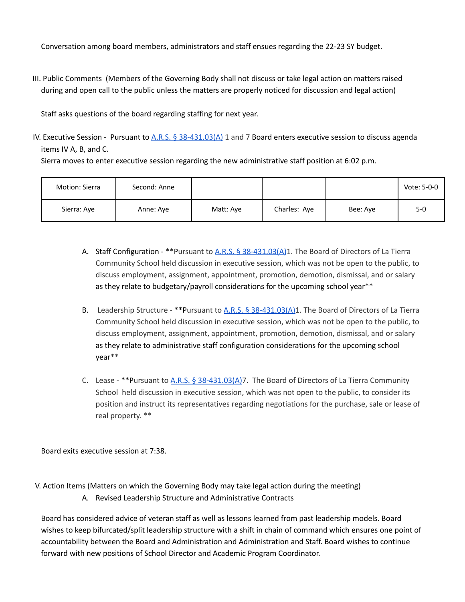Conversation among board members, administrators and staff ensues regarding the 22-23 SY budget.

III. Public Comments (Members of the Governing Body shall not discuss or take legal action on matters raised during and open call to the public unless the matters are properly noticed for discussion and legal action)

Staff asks questions of the board regarding staffing for next year.

IV. Executive Session - Pursuant to  $A.R.S.$  § [38-431.03\(A\)](https://www.azleg.gov/ars/38/00431-03.htm) 1 and 7 Board enters executive session to discuss agenda items IV A, B, and C. Sierra moves to enter executive session regarding the new administrative staff position at 6:02 p.m.

| Motion: Sierra | Second: Anne |           |              |          | Vote: 5-0-0 |
|----------------|--------------|-----------|--------------|----------|-------------|
| Sierra: Aye    | Anne: Aye    | Matt: Ave | Charles: Aye | Bee: Aye | $5-0$       |

- A. Staff Configuration \*\*Pursuant to A.R.S. § [38-431.03\(A\)](https://www.azleg.gov/ars/38/00431-03.htm)1. The Board of Directors of La Tierra Community School held discussion in executive session, which was not be open to the public, to discuss employment, assignment, appointment, promotion, demotion, dismissal, and or salary as they relate to budgetary/payroll considerations for the upcoming school year\*\*
- B. Leadership Structure \*\*Pursuant to A.R.S. § [38-431.03\(A\)](https://www.azleg.gov/ars/38/00431-03.htm)1. The Board of Directors of La Tierra Community School held discussion in executive session, which was not be open to the public, to discuss employment, assignment, appointment, promotion, demotion, dismissal, and or salary as they relate to administrative staff configuration considerations for the upcoming school year\*\*
- C. Lease \*\* Pursuant to A.R.S. § [38-431.03\(A\)7](https://www.azleg.gov/ars/38/00431-03.htm). The Board of Directors of La Tierra Community School held discussion in executive session, which was not open to the public, to consider its position and instruct its representatives regarding negotiations for the purchase, sale or lease of real property. \*\*

Board exits executive session at 7:38.

- V. Action Items (Matters on which the Governing Body may take legal action during the meeting)
	- A. Revised Leadership Structure and Administrative Contracts

Board has considered advice of veteran staff as well as lessons learned from past leadership models. Board wishes to keep bifurcated/split leadership structure with a shift in chain of command which ensures one point of accountability between the Board and Administration and Administration and Staff. Board wishes to continue forward with new positions of School Director and Academic Program Coordinator.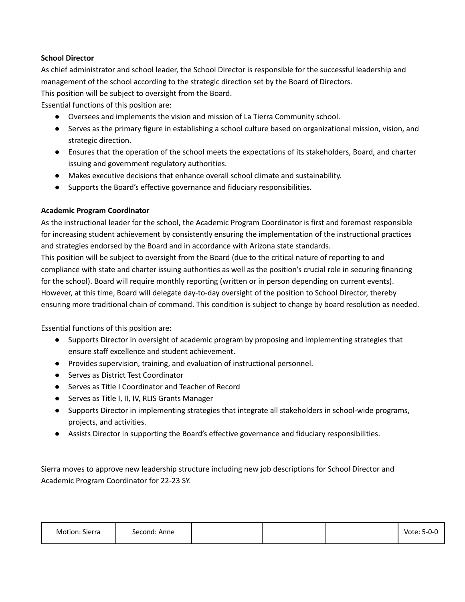## **School Director**

As chief administrator and school leader, the School Director is responsible for the successful leadership and management of the school according to the strategic direction set by the Board of Directors.

This position will be subject to oversight from the Board.

Essential functions of this position are:

- Oversees and implements the vision and mission of La Tierra Community school.
- Serves as the primary figure in establishing a school culture based on organizational mission, vision, and strategic direction.
- Ensures that the operation of the school meets the expectations of its stakeholders, Board, and charter issuing and government regulatory authorities.
- Makes executive decisions that enhance overall school climate and sustainability.
- Supports the Board's effective governance and fiduciary responsibilities.

## **Academic Program Coordinator**

As the instructional leader for the school, the Academic Program Coordinator is first and foremost responsible for increasing student achievement by consistently ensuring the implementation of the instructional practices and strategies endorsed by the Board and in accordance with Arizona state standards.

This position will be subject to oversight from the Board (due to the critical nature of reporting to and compliance with state and charter issuing authorities as well as the position's crucial role in securing financing for the school). Board will require monthly reporting (written or in person depending on current events). However, at this time, Board will delegate day-to-day oversight of the position to School Director, thereby ensuring more traditional chain of command. This condition is subject to change by board resolution as needed.

Essential functions of this position are:

- Supports Director in oversight of academic program by proposing and implementing strategies that ensure staff excellence and student achievement.
- Provides supervision, training, and evaluation of instructional personnel.
- Serves as District Test Coordinator
- Serves as Title I Coordinator and Teacher of Record
- Serves as Title I, II, IV, RLIS Grants Manager
- Supports Director in implementing strategies that integrate all stakeholders in school-wide programs, projects, and activities.
- Assists Director in supporting the Board's effective governance and fiduciary responsibilities.

Sierra moves to approve new leadership structure including new job descriptions for School Director and Academic Program Coordinator for 22-23 SY.

| Motion: Sierra | Second: Anne |  | Vote: 5-0-0 |
|----------------|--------------|--|-------------|
|                |              |  |             |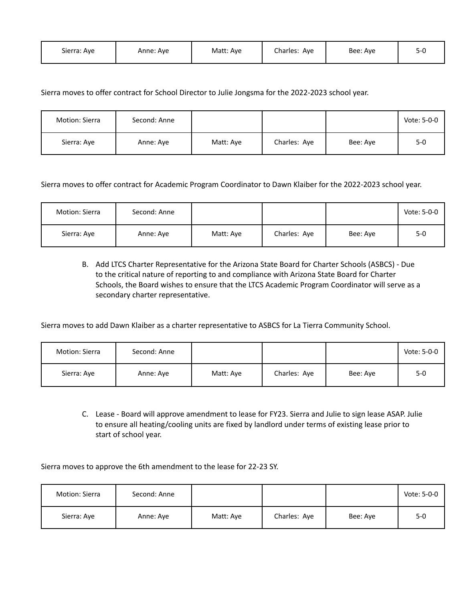| Sierra: Aye | Anne: Ave | Matt: Aye | Charles: Aye | Bee: Aye |  |
|-------------|-----------|-----------|--------------|----------|--|
|-------------|-----------|-----------|--------------|----------|--|

## Sierra moves to offer contract for School Director to Julie Jongsma for the 2022-2023 school year.

| Motion: Sierra | Second: Anne |           |              |          | Vote: 5-0-0 |
|----------------|--------------|-----------|--------------|----------|-------------|
| Sierra: Aye    | Anne: Aye    | Matt: Aye | Charles: Aye | Bee: Aye | $5-0$       |

Sierra moves to offer contract for Academic Program Coordinator to Dawn Klaiber for the 2022-2023 school year.

| Motion: Sierra | Second: Anne |           |              |          | Vote: 5-0-0 |
|----------------|--------------|-----------|--------------|----------|-------------|
| Sierra: Aye    | Anne: Aye    | Matt: Aye | Charles: Aye | Bee: Aye | 5-0         |

B. Add LTCS Charter Representative for the Arizona State Board for Charter Schools (ASBCS) - Due to the critical nature of reporting to and compliance with Arizona State Board for Charter Schools, the Board wishes to ensure that the LTCS Academic Program Coordinator will serve as a secondary charter representative.

Sierra moves to add Dawn Klaiber as a charter representative to ASBCS for La Tierra Community School.

| Motion: Sierra | Second: Anne |           |              |          | Vote: 5-0-0 |
|----------------|--------------|-----------|--------------|----------|-------------|
| Sierra: Aye    | Anne: Aye    | Matt: Aye | Charles: Aye | Bee: Aye | $5-0$       |

C. Lease - Board will approve amendment to lease for FY23. Sierra and Julie to sign lease ASAP. Julie to ensure all heating/cooling units are fixed by landlord under terms of existing lease prior to start of school year.

Sierra moves to approve the 6th amendment to the lease for 22-23 SY.

| Motion: Sierra | Second: Anne |           |              |          | Vote: 5-0-0 |
|----------------|--------------|-----------|--------------|----------|-------------|
| Sierra: Aye    | Anne: Aye    | Matt: Aye | Charles: Aye | Bee: Aye | $5 - 0$     |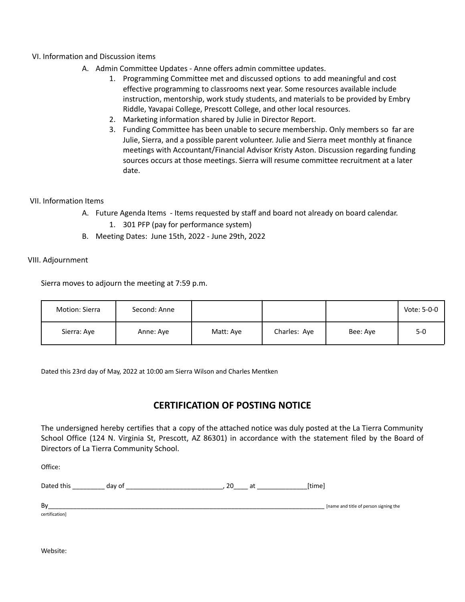### VI. Information and Discussion items

- A. Admin Committee Updates Anne offers admin committee updates.
	- 1. Programming Committee met and discussed options to add meaningful and cost effective programming to classrooms next year. Some resources available include instruction, mentorship, work study students, and materials to be provided by Embry Riddle, Yavapai College, Prescott College, and other local resources.
	- 2. Marketing information shared by Julie in Director Report.
	- 3. Funding Committee has been unable to secure membership. Only members so far are Julie, Sierra, and a possible parent volunteer. Julie and Sierra meet monthly at finance meetings with Accountant/Financial Advisor Kristy Aston. Discussion regarding funding sources occurs at those meetings. Sierra will resume committee recruitment at a later date.

#### VII. Information Items

- A. Future Agenda Items Items requested by staff and board not already on board calendar.
	- 1. 301 PFP (pay for performance system)
- B. Meeting Dates: June 15th, 2022 June 29th, 2022

#### VIII. Adjournment

Sierra moves to adjourn the meeting at 7:59 p.m.

| Motion: Sierra | Second: Anne |           |              |          | Vote: 5-0-0 |
|----------------|--------------|-----------|--------------|----------|-------------|
| Sierra: Aye    | Anne: Aye    | Matt: Aye | Charles: Aye | Bee: Aye | $5 - 0$     |

Dated this 23rd day of May, 2022 at 10:00 am Sierra Wilson and Charles Mentken

# **CERTIFICATION OF POSTING NOTICE**

The undersigned hereby certifies that a copy of the attached notice was duly posted at the La Tierra Community School Office (124 N. Virginia St, Prescott, AZ 86301) in accordance with the statement filed by the Board of Directors of La Tierra Community School.

Office:

| $D2 + 2$<br>this<br>Ddlf′ | aav 1 | . . | $\cdots$ |
|---------------------------|-------|-----|----------|
|---------------------------|-------|-----|----------|

By strategies and title of person signing the set of person signing the set of person signing the set of person signing the

certification]

Website: